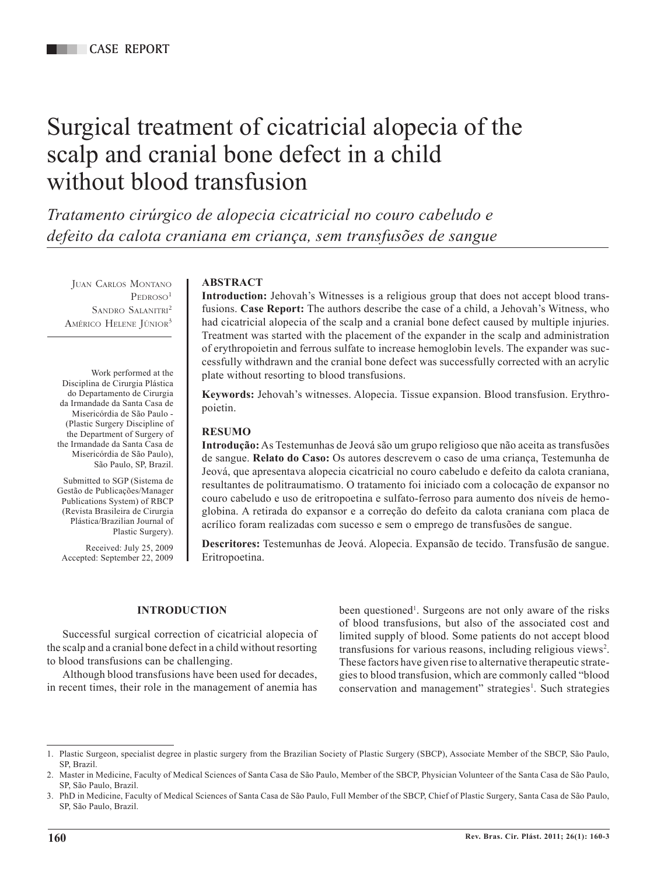# Surgical treatment of cicatricial alopecia of the scalp and cranial bone defect in a child without blood transfusion

*Tratamento cirúrgico de alopecia cicatricial no couro cabeludo e defeito da calota craniana em criança, sem transfusões de sangue*

Juan Carlos Montano  $PEDROSO<sup>1</sup>$ SANDRO SALANITRI<sup>2</sup> AMÉRICO HELENE JÚNIOR<sup>3</sup>

Work performed at the Disciplina de Cirurgia Plástica do Departamento de Cirurgia da Irmandade da Santa Casa de Misericórdia de São Paulo - (Plastic Surgery Discipline of the Department of Surgery of the Irmandade da Santa Casa de Misericórdia de São Paulo), São Paulo, SP, Brazil.

Submitted to SGP (Sistema de Gestão de Publicações/Manager Publications System) of RBCP (Revista Brasileira de Cirurgia Plástica/Brazilian Journal of Plastic Surgery).

Received: July 25, 2009 Accepted: September 22, 2009

## **ABSTRACT**

**Introduction:** Jehovah's Witnesses is a religious group that does not accept blood transfusions. **Case Report:** The authors describe the case of a child, a Jehovah's Witness, who had cicatricial alopecia of the scalp and a cranial bone defect caused by multiple injuries. Treatment was started with the placement of the expander in the scalp and administration of erythropoietin and ferrous sulfate to increase hemoglobin levels. The expander was successfully withdrawn and the cranial bone defect was successfully corrected with an acrylic plate without resorting to blood transfusions.

**Keywords:** Jehovah's witnesses. Alopecia. Tissue expansion. Blood transfusion. Erythropoietin.

#### **RESUMO**

**Introdução:** As Testemunhas de Jeová são um grupo religioso que não aceita as transfusões de sangue. **Relato do Caso:** Os autores descrevem o caso de uma criança, Testemunha de Jeová, que apresentava alopecia cicatricial no couro cabeludo e defeito da calota craniana, resultantes de politraumatismo. O tratamento foi iniciado com a colocação de expansor no couro cabeludo e uso de eritropoetina e sulfato-ferroso para aumento dos níveis de hemoglobina. A retirada do expansor e a correção do defeito da calota craniana com placa de acrílico foram realizadas com sucesso e sem o emprego de transfusões de sangue.

**Descritores:** Testemunhas de Jeová. Alopecia. Expansão de tecido. Transfusão de sangue. Eritropoetina.

#### **INTRODUCTION**

Successful surgical correction of cicatricial alopecia of the scalp and a cranial bone defect in a child without resorting to blood transfusions can be challenging.

Although blood transfusions have been used for decades, in recent times, their role in the management of anemia has been questioned<sup>1</sup>. Surgeons are not only aware of the risks of blood transfusions, but also of the associated cost and limited supply of blood. Some patients do not accept blood transfusions for various reasons, including religious views<sup>2</sup>. These factors have given rise to alternative therapeutic strategies to blood transfusion, which are commonly called "blood conservation and management" strategies<sup>1</sup>. Such strategies

<sup>1.</sup> Plastic Surgeon, specialist degree in plastic surgery from the Brazilian Society of Plastic Surgery (SBCP), Associate Member of the SBCP, São Paulo, SP, Brazil.

<sup>2.</sup> Master in Medicine, Faculty of Medical Sciences of Santa Casa de São Paulo, Member of the SBCP, Physician Volunteer of the Santa Casa de São Paulo, SP, São Paulo, Brazil.

<sup>3.</sup> PhD in Medicine, Faculty of Medical Sciences of Santa Casa de São Paulo, Full Member of the SBCP, Chief of Plastic Surgery, Santa Casa de São Paulo, SP, São Paulo, Brazil.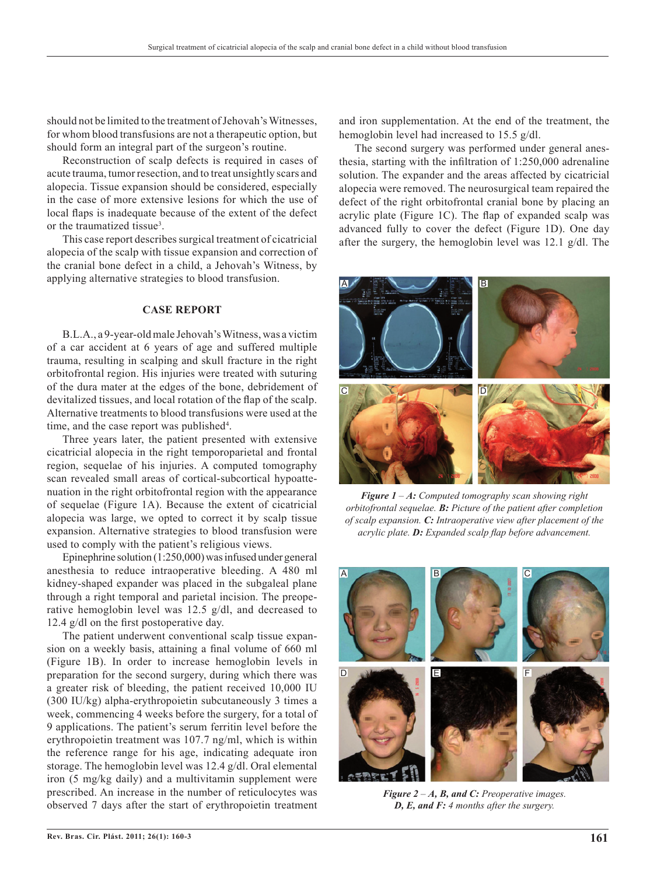should not be limited to the treatment of Jehovah's Witnesses, for whom blood transfusions are not a therapeutic option, but should form an integral part of the surgeon's routine.

Reconstruction of scalp defects is required in cases of acute trauma, tumor resection, and to treat unsightly scars and alopecia. Tissue expansion should be considered, especially in the case of more extensive lesions for which the use of local flaps is inadequate because of the extent of the defect or the traumatized tissue<sup>3</sup>.

This case report describes surgical treatment of cicatricial alopecia of the scalp with tissue expansion and correction of the cranial bone defect in a child, a Jehovah's Witness, by applying alternative strategies to blood transfusion.

#### **CASE REPORT**

B.L.A., a 9-year-old male Jehovah's Witness, was a victim of a car accident at 6 years of age and suffered multiple trauma, resulting in scalping and skull fracture in the right orbitofrontal region. His injuries were treated with suturing of the dura mater at the edges of the bone, debridement of devitalized tissues, and local rotation of the flap of the scalp. Alternative treatments to blood transfusions were used at the time, and the case report was published<sup>4</sup>.

Three years later, the patient presented with extensive cicatricial alopecia in the right temporoparietal and frontal region, sequelae of his injuries. A computed tomography scan revealed small areas of cortical-subcortical hypoattenuation in the right orbitofrontal region with the appearance of sequelae (Figure 1A). Because the extent of cicatricial alopecia was large, we opted to correct it by scalp tissue expansion. Alternative strategies to blood transfusion were used to comply with the patient's religious views.

Epinephrine solution (1:250,000) was infused under general anesthesia to reduce intraoperative bleeding. A 480 ml kidney-shaped expander was placed in the subgaleal plane through a right temporal and parietal incision. The preoperative hemoglobin level was 12.5 g/dl, and decreased to 12.4 g/dl on the first postoperative day.

The patient underwent conventional scalp tissue expansion on a weekly basis, attaining a final volume of 660 ml (Figure 1B). In order to increase hemoglobin levels in preparation for the second surgery, during which there was a greater risk of bleeding, the patient received 10,000 IU (300 IU/kg) alpha-erythropoietin subcutaneously 3 times a week, commencing 4 weeks before the surgery, for a total of 9 applications. The patient's serum ferritin level before the erythropoietin treatment was 107.7 ng/ml, which is within the reference range for his age, indicating adequate iron storage. The hemoglobin level was 12.4 g/dl. Oral elemental iron (5 mg/kg daily) and a multivitamin supplement were prescribed. An increase in the number of reticulocytes was observed 7 days after the start of erythropoietin treatment

and iron supplementation. At the end of the treatment, the hemoglobin level had increased to 15.5 g/dl.

The second surgery was performed under general anesthesia, starting with the infiltration of 1:250,000 adrenaline solution. The expander and the areas affected by cicatricial alopecia were removed. The neurosurgical team repaired the defect of the right orbitofrontal cranial bone by placing an acrylic plate (Figure 1C). The flap of expanded scalp was advanced fully to cover the defect (Figure 1D). One day after the surgery, the hemoglobin level was 12.1 g/dl. The



*Figure 1 – A: Computed tomography scan showing right orbitofrontal sequelae. B: Picture of the patient after completion of scalp expansion. C: Intraoperative view after placement of the acrylic plate. D: Expanded scalp flap before advancement.*



*Figure 2 – A, B, and C: Preoperative images. D, E, and F: 4 months after the surgery.*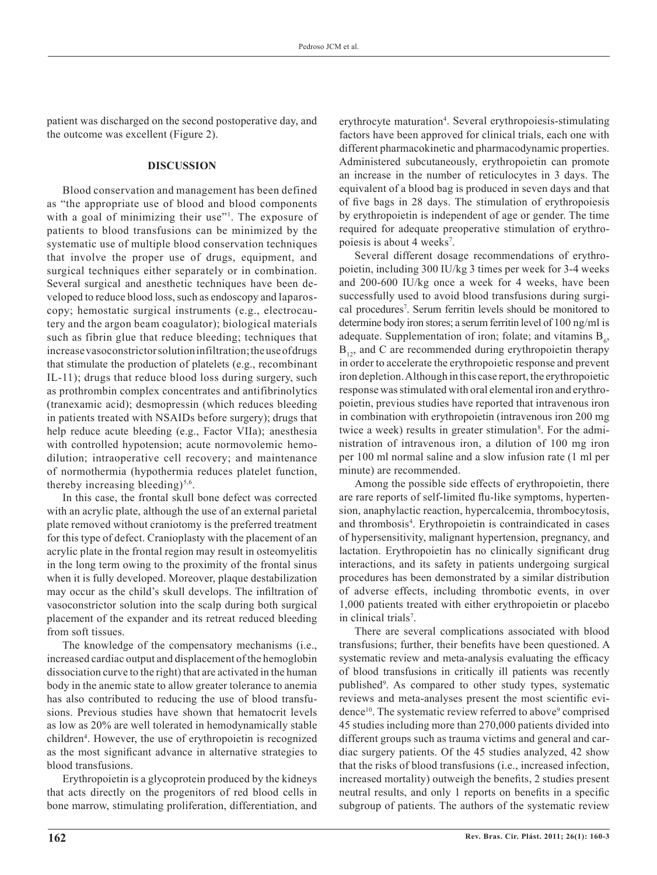patient was discharged on the second postoperative day, and the outcome was excellent (Figure 2).

#### **DISCUSSION**

Blood conservation and management has been defined as "the appropriate use of blood and blood components with a goal of minimizing their use"<sup>1</sup>. The exposure of patients to blood transfusions can be minimized by the systematic use of multiple blood conservation techniques that involve the proper use of drugs, equipment, and surgical techniques either separately or in combination. Several surgical and anesthetic techniques have been developed to reduce blood loss, such as endoscopy and laparoscopy; hemostatic surgical instruments (e.g., electrocautery and the argon beam coagulator); biological materials such as fibrin glue that reduce bleeding; techniques that increase vasoconstrictor solution infiltration; the use of drugs that stimulate the production of platelets (e.g., recombinant IL-11); drugs that reduce blood loss during surgery, such as prothrombin complex concentrates and antifibrinolytics (tranexamic acid); desmopressin (which reduces bleeding in patients treated with NSAIDs before surgery); drugs that help reduce acute bleeding (e.g., Factor VIIa); anesthesia with controlled hypotension; acute normovolemic hemodilution; intraoperative cell recovery; and maintenance of normothermia (hypothermia reduces platelet function, thereby increasing bleeding) $5,6$ .

In this case, the frontal skull bone defect was corrected with an acrylic plate, although the use of an external parietal plate removed without craniotomy is the preferred treatment for this type of defect. Cranioplasty with the placement of an acrylic plate in the frontal region may result in osteomyelitis in the long term owing to the proximity of the frontal sinus when it is fully developed. Moreover, plaque destabilization may occur as the child's skull develops. The infiltration of vasoconstrictor solution into the scalp during both surgical placement of the expander and its retreat reduced bleeding from soft tissues.

The knowledge of the compensatory mechanisms (i.e., increased cardiac output and displacement of the hemoglobin dissociation curve to the right) that are activated in the human body in the anemic state to allow greater tolerance to anemia has also contributed to reducing the use of blood transfusions. Previous studies have shown that hematocrit levels as low as 20% are well tolerated in hemodynamically stable children<sup>4</sup>. However, the use of erythropoietin is recognized as the most significant advance in alternative strategies to blood transfusions.

Erythropoietin is a glycoprotein produced by the kidneys that acts directly on the progenitors of red blood cells in bone marrow, stimulating proliferation, differentiation, and erythrocyte maturation<sup>4</sup>. Several erythropoiesis-stimulating factors have been approved for clinical trials, each one with different pharmacokinetic and pharmacodynamic properties. Administered subcutaneously, erythropoietin can promote an increase in the number of reticulocytes in 3 days. The equivalent of a blood bag is produced in seven days and that of five bags in 28 days. The stimulation of erythropoiesis by erythropoietin is independent of age or gender. The time required for adequate preoperative stimulation of erythropoiesis is about 4 weeks<sup>7</sup>.

Several different dosage recommendations of erythropoietin, including 300 IU/kg 3 times per week for 3-4 weeks and 200-600 IU/kg once a week for 4 weeks, have been successfully used to avoid blood transfusions during surgical procedures<sup>7</sup>. Serum ferritin levels should be monitored to determine body iron stores; a serum ferritin level of 100 ng/ml is adequate. Supplementation of iron; folate; and vitamins  $B_6$ ,  $B_{12}$ , and C are recommended during erythropoietin therapy in order to accelerate the erythropoietic response and prevent iron depletion. Although in this case report, the erythropoietic response was stimulated with oral elemental iron and erythropoietin, previous studies have reported that intravenous iron in combination with erythropoietin (intravenous iron 200 mg twice a week) results in greater stimulation<sup>8</sup>. For the administration of intravenous iron, a dilution of 100 mg iron per 100 ml normal saline and a slow infusion rate (1 ml per minute) are recommended.

Among the possible side effects of erythropoietin, there are rare reports of self-limited flu-like symptoms, hypertension, anaphylactic reaction, hypercalcemia, thrombocytosis, and thrombosis<sup>4</sup>. Erythropoietin is contraindicated in cases of hypersensitivity, malignant hypertension, pregnancy, and lactation. Erythropoietin has no clinically significant drug interactions, and its safety in patients undergoing surgical procedures has been demonstrated by a similar distribution of adverse effects, including thrombotic events, in over 1,000 patients treated with either erythropoietin or placebo in clinical trials<sup>7</sup>.

There are several complications associated with blood transfusions; further, their benefits have been questioned. A systematic review and meta-analysis evaluating the efficacy of blood transfusions in critically ill patients was recently published<sup>9</sup>. As compared to other study types, systematic reviews and meta-analyses present the most scientific evidence<sup>10</sup>. The systematic review referred to above<sup>9</sup> comprised 45 studies including more than 270,000 patients divided into different groups such as trauma victims and general and cardiac surgery patients. Of the 45 studies analyzed, 42 show that the risks of blood transfusions (i.e., increased infection, increased mortality) outweigh the benefits, 2 studies present neutral results, and only 1 reports on benefits in a specific subgroup of patients. The authors of the systematic review